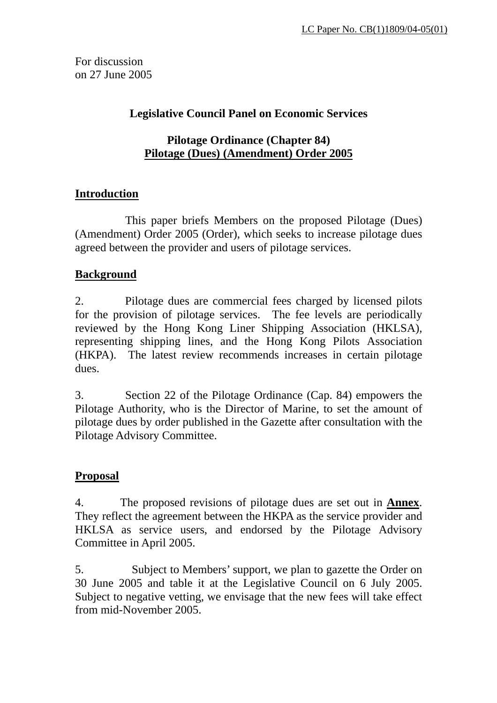For discussion on 27 June 2005

#### **Legislative Council Panel on Economic Services**

### **Pilotage Ordinance (Chapter 84) Pilotage (Dues) (Amendment) Order 2005**

### **Introduction**

 This paper briefs Members on the proposed Pilotage (Dues) (Amendment) Order 2005 (Order), which seeks to increase pilotage dues agreed between the provider and users of pilotage services.

### **Background**

2. Pilotage dues are commercial fees charged by licensed pilots for the provision of pilotage services. The fee levels are periodically reviewed by the Hong Kong Liner Shipping Association (HKLSA), representing shipping lines, and the Hong Kong Pilots Association (HKPA). The latest review recommends increases in certain pilotage dues.

3. Section 22 of the Pilotage Ordinance (Cap. 84) empowers the Pilotage Authority, who is the Director of Marine, to set the amount of pilotage dues by order published in the Gazette after consultation with the Pilotage Advisory Committee.

### **Proposal**

4. The proposed revisions of pilotage dues are set out in **Annex**. They reflect the agreement between the HKPA as the service provider and HKLSA as service users, and endorsed by the Pilotage Advisory Committee in April 2005.

5. Subject to Members' support, we plan to gazette the Order on 30 June 2005 and table it at the Legislative Council on 6 July 2005. Subject to negative vetting, we envisage that the new fees will take effect from mid-November 2005.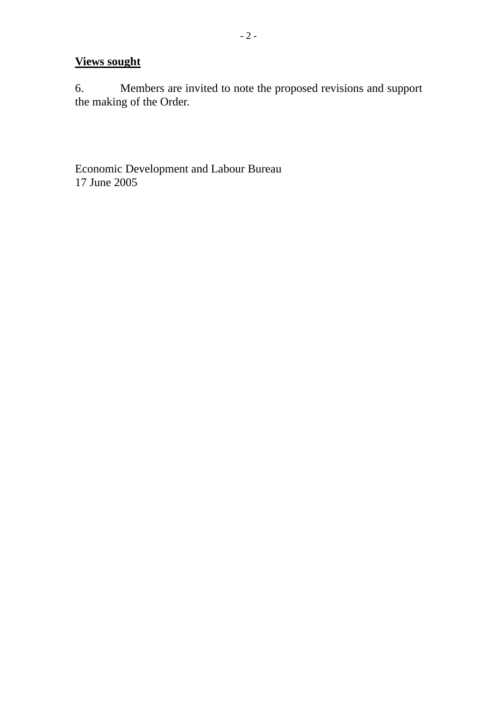## **Views sought**

6. Members are invited to note the proposed revisions and support the making of the Order.

Economic Development and Labour Bureau 17 June 2005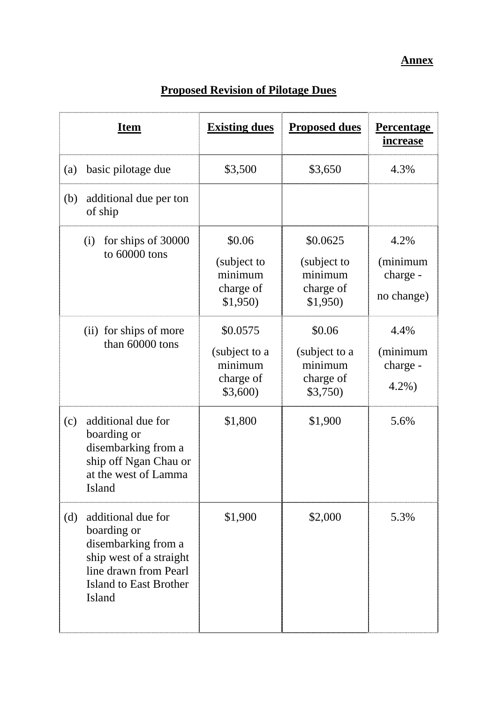#### **Annex**

# **Proposed Revision of Pilotage Dues**

|     | <b>Item</b>                                                                                                                                             | <b>Existing dues</b>                                          | <b>Proposed dues</b>                                       | <b>Percentage</b><br>increase              |
|-----|---------------------------------------------------------------------------------------------------------------------------------------------------------|---------------------------------------------------------------|------------------------------------------------------------|--------------------------------------------|
| (a) | basic pilotage due                                                                                                                                      | \$3,500                                                       | \$3,650                                                    | 4.3%                                       |
| (b) | additional due per ton<br>of ship                                                                                                                       |                                                               |                                                            |                                            |
|     | for ships of 30000<br>(i)<br>to 60000 tons                                                                                                              | \$0.06<br>(subject to<br>minimum<br>charge of<br>\$1,950)     | \$0.0625<br>(subject to<br>minimum<br>charge of<br>\$1,950 | 4.2%<br>(minimum<br>charge -<br>no change) |
|     | (ii) for ships of more<br>than 60000 tons                                                                                                               | \$0.0575<br>(subject to a<br>minimum<br>charge of<br>\$3,600) | \$0.06<br>(subject to a<br>minimum<br>charge of<br>\$3,750 | 4.4%<br>(minimum<br>charge -<br>$4.2\%$ )  |
| (c) | additional due for<br>boarding or<br>disembarking from a<br>ship off Ngan Chau or<br>at the west of Lamma<br>Island                                     | \$1,800                                                       | \$1,900                                                    | 5.6%                                       |
| (d) | additional due for<br>boarding or<br>disembarking from a<br>ship west of a straight<br>line drawn from Pearl<br><b>Island to East Brother</b><br>Island | \$1,900                                                       | \$2,000                                                    | 5.3%                                       |